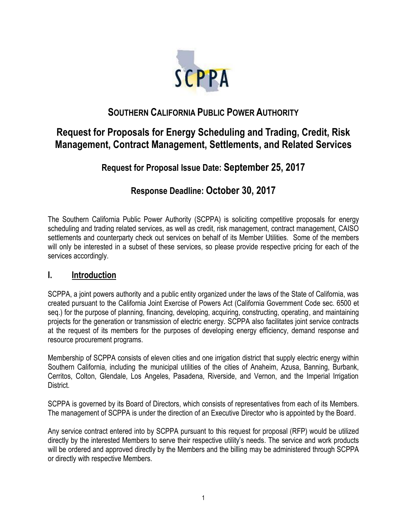

# **SOUTHERN CALIFORNIA PUBLIC POWER AUTHORITY**

# **Request for Proposals for Energy Scheduling and Trading, Credit, Risk Management, Contract Management, Settlements, and Related Services**

# **Request for Proposal Issue Date: September 25, 2017**

# **Response Deadline: October 30, 2017**

The Southern California Public Power Authority (SCPPA) is soliciting competitive proposals for energy scheduling and trading related services, as well as credit, risk management, contract management, CAISO settlements and counterparty check out services on behalf of its Member Utilities. Some of the members will only be interested in a subset of these services, so please provide respective pricing for each of the services accordingly.

## **I. Introduction**

SCPPA, a joint powers authority and a public entity organized under the laws of the State of California, was created pursuant to the California Joint Exercise of Powers Act (California Government Code sec. 6500 et seq.) for the purpose of planning, financing, developing, acquiring, constructing, operating, and maintaining projects for the generation or transmission of electric energy. SCPPA also facilitates joint service contracts at the request of its members for the purposes of developing energy efficiency, demand response and resource procurement programs.

Membership of SCPPA consists of eleven cities and one irrigation district that supply electric energy within Southern California, including the municipal utilities of the cities of Anaheim, Azusa, Banning, Burbank, Cerritos, Colton, Glendale, Los Angeles, Pasadena, Riverside, and Vernon, and the Imperial Irrigation District.

SCPPA is governed by its Board of Directors, which consists of representatives from each of its Members. The management of SCPPA is under the direction of an Executive Director who is appointed by the Board.

Any service contract entered into by SCPPA pursuant to this request for proposal (RFP) would be utilized directly by the interested Members to serve their respective utility's needs. The service and work products will be ordered and approved directly by the Members and the billing may be administered through SCPPA or directly with respective Members.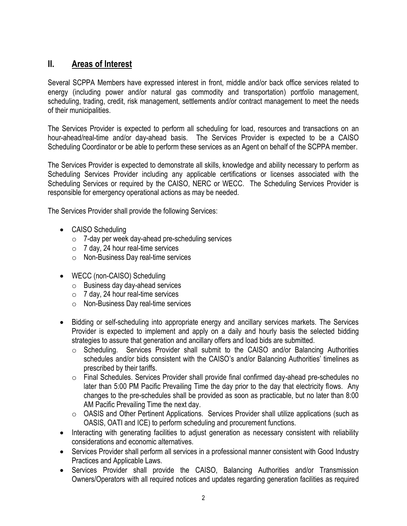# **II. Areas of Interest**

Several SCPPA Members have expressed interest in front, middle and/or back office services related to energy (including power and/or natural gas commodity and transportation) portfolio management, scheduling, trading, credit, risk management, settlements and/or contract management to meet the needs of their municipalities.

The Services Provider is expected to perform all scheduling for load, resources and transactions on an hour-ahead/real-time and/or day-ahead basis. The Services Provider is expected to be a CAISO Scheduling Coordinator or be able to perform these services as an Agent on behalf of the SCPPA member.

The Services Provider is expected to demonstrate all skills, knowledge and ability necessary to perform as Scheduling Services Provider including any applicable certifications or licenses associated with the Scheduling Services or required by the CAISO, NERC or WECC. The Scheduling Services Provider is responsible for emergency operational actions as may be needed.

The Services Provider shall provide the following Services:

- CAISO Scheduling
	- $\circ$  7-day per week day-ahead pre-scheduling services
	- $\circ$  7 day, 24 hour real-time services
	- o Non-Business Day real-time services
- WECC (non-CAISO) Scheduling
	- o Business day day-ahead services
	- $\circ$  7 day, 24 hour real-time services
	- o Non-Business Day real-time services
- Bidding or self-scheduling into appropriate energy and ancillary services markets. The Services Provider is expected to implement and apply on a daily and hourly basis the selected bidding strategies to assure that generation and ancillary offers and load bids are submitted.
	- $\circ$  Scheduling. Services Provider shall submit to the CAISO and/or Balancing Authorities schedules and/or bids consistent with the CAISO's and/or Balancing Authorities' timelines as prescribed by their tariffs.
	- $\circ$  Final Schedules. Services Provider shall provide final confirmed day-ahead pre-schedules no later than 5:00 PM Pacific Prevailing Time the day prior to the day that electricity flows. Any changes to the pre-schedules shall be provided as soon as practicable, but no later than 8:00 AM Pacific Prevailing Time the next day.
	- o OASIS and Other Pertinent Applications. Services Provider shall utilize applications (such as OASIS, OATI and ICE) to perform scheduling and procurement functions.
- Interacting with generating facilities to adjust generation as necessary consistent with reliability considerations and economic alternatives.
- Services Provider shall perform all services in a professional manner consistent with Good Industry Practices and Applicable Laws.
- Services Provider shall provide the CAISO, Balancing Authorities and/or Transmission Owners/Operators with all required notices and updates regarding generation facilities as required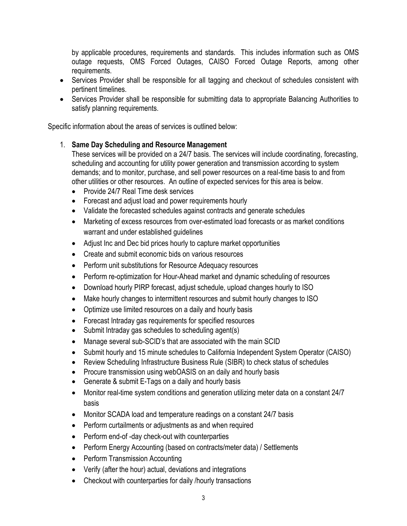by applicable procedures, requirements and standards. This includes information such as OMS outage requests, OMS Forced Outages, CAISO Forced Outage Reports, among other requirements.

- Services Provider shall be responsible for all tagging and checkout of schedules consistent with pertinent timelines.
- Services Provider shall be responsible for submitting data to appropriate Balancing Authorities to satisfy planning requirements.

Specific information about the areas of services is outlined below:

#### 1. **Same Day Scheduling and Resource Management**

These services will be provided on a 24/7 basis. The services will include coordinating, forecasting, scheduling and accounting for utility power generation and transmission according to system demands; and to monitor, purchase, and sell power resources on a real-time basis to and from other utilities or other resources. An outline of expected services for this area is below.

- Provide 24/7 Real Time desk services
- Forecast and adjust load and power requirements hourly
- Validate the forecasted schedules against contracts and generate schedules
- Marketing of excess resources from over-estimated load forecasts or as market conditions warrant and under established guidelines
- Adjust Inc and Dec bid prices hourly to capture market opportunities
- Create and submit economic bids on various resources
- Perform unit substitutions for Resource Adequacy resources
- Perform re-optimization for Hour-Ahead market and dynamic scheduling of resources
- Download hourly PIRP forecast, adjust schedule, upload changes hourly to ISO
- Make hourly changes to intermittent resources and submit hourly changes to ISO
- Optimize use limited resources on a daily and hourly basis
- Forecast Intraday gas requirements for specified resources
- Submit Intraday gas schedules to scheduling agent(s)
- Manage several sub-SCID's that are associated with the main SCID
- Submit hourly and 15 minute schedules to California Independent System Operator (CAISO)
- Review Scheduling Infrastructure Business Rule (SIBR) to check status of schedules
- Procure transmission using webOASIS on an daily and hourly basis
- Generate & submit E-Tags on a daily and hourly basis
- Monitor real-time system conditions and generation utilizing meter data on a constant 24/7 basis
- Monitor SCADA load and temperature readings on a constant 24/7 basis
- Perform curtailments or adjustments as and when required
- Perform end-of-day check-out with counterparties
- Perform Energy Accounting (based on contracts/meter data) / Settlements
- Perform Transmission Accounting
- Verify (after the hour) actual, deviations and integrations
- Checkout with counterparties for daily /hourly transactions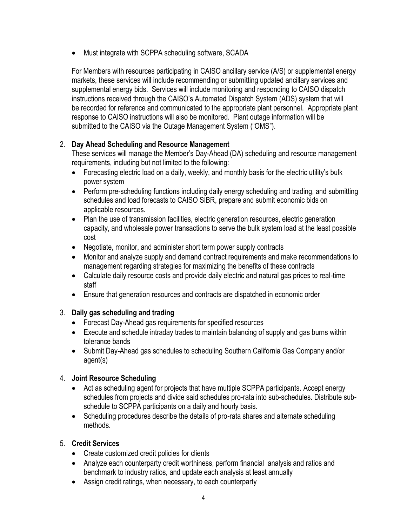• Must integrate with SCPPA scheduling software, SCADA

For Members with resources participating in CAISO ancillary service (A/S) or supplemental energy markets, these services will include recommending or submitting updated ancillary services and supplemental energy bids. Services will include monitoring and responding to CAISO dispatch instructions received through the CAISO's Automated Dispatch System (ADS) system that will be recorded for reference and communicated to the appropriate plant personnel. Appropriate plant response to CAISO instructions will also be monitored. Plant outage information will be submitted to the CAISO via the Outage Management System ("OMS").

#### 2. **Day Ahead Scheduling and Resource Management**

These services will manage the Member's Day-Ahead (DA) scheduling and resource management requirements, including but not limited to the following:

- Forecasting electric load on a daily, weekly, and monthly basis for the electric utility's bulk power system
- Perform pre-scheduling functions including daily energy scheduling and trading, and submitting schedules and load forecasts to CAISO SIBR, prepare and submit economic bids on applicable resources.
- Plan the use of transmission facilities, electric generation resources, electric generation capacity, and wholesale power transactions to serve the bulk system load at the least possible cost
- Negotiate, monitor, and administer short term power supply contracts
- Monitor and analyze supply and demand contract requirements and make recommendations to management regarding strategies for maximizing the benefits of these contracts
- Calculate daily resource costs and provide daily electric and natural gas prices to real-time staff
- Ensure that generation resources and contracts are dispatched in economic order

#### 3. **Daily gas scheduling and trading**

- Forecast Day-Ahead gas requirements for specified resources
- Execute and schedule intraday trades to maintain balancing of supply and gas burns within tolerance bands
- Submit Day-Ahead gas schedules to scheduling Southern California Gas Company and/or agent(s)

### 4. **Joint Resource Scheduling**

- Act as scheduling agent for projects that have multiple SCPPA participants. Accept energy schedules from projects and divide said schedules pro-rata into sub-schedules. Distribute subschedule to SCPPA participants on a daily and hourly basis.
- Scheduling procedures describe the details of pro-rata shares and alternate scheduling methods.

### 5. **Credit Services**

- Create customized credit policies for clients
- Analyze each counterparty credit worthiness, perform financial analysis and ratios and benchmark to industry ratios, and update each analysis at least annually
- Assign credit ratings, when necessary, to each counterparty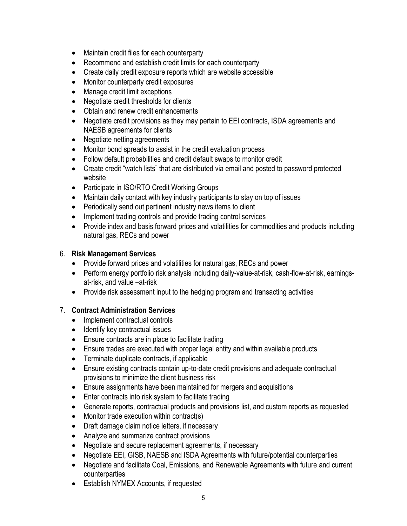- Maintain credit files for each counterparty
- Recommend and establish credit limits for each counterparty
- Create daily credit exposure reports which are website accessible
- Monitor counterparty credit exposures
- Manage credit limit exceptions
- Negotiate credit thresholds for clients
- Obtain and renew credit enhancements
- Negotiate credit provisions as they may pertain to EEI contracts, ISDA agreements and NAESB agreements for clients
- Negotiate netting agreements
- Monitor bond spreads to assist in the credit evaluation process
- Follow default probabilities and credit default swaps to monitor credit
- Create credit "watch lists" that are distributed via email and posted to password protected website
- Participate in ISO/RTO Credit Working Groups
- Maintain daily contact with key industry participants to stay on top of issues
- Periodically send out pertinent industry news items to client
- Implement trading controls and provide trading control services
- Provide index and basis forward prices and volatilities for commodities and products including natural gas, RECs and power

#### 6. **Risk Management Services**

- Provide forward prices and volatilities for natural gas, RECs and power
- Perform energy portfolio risk analysis including daily-value-at-risk, cash-flow-at-risk, earningsat-risk, and value –at-risk
- Provide risk assessment input to the hedging program and transacting activities

#### 7. **Contract Administration Services**

- Implement contractual controls
- Identify key contractual issues
- Ensure contracts are in place to facilitate trading
- Ensure trades are executed with proper legal entity and within available products
- Terminate duplicate contracts, if applicable
- Ensure existing contracts contain up-to-date credit provisions and adequate contractual provisions to minimize the client business risk
- Ensure assignments have been maintained for mergers and acquisitions
- Enter contracts into risk system to facilitate trading
- Generate reports, contractual products and provisions list, and custom reports as requested
- Monitor trade execution within contract(s)
- Draft damage claim notice letters, if necessary
- Analyze and summarize contract provisions
- Negotiate and secure replacement agreements, if necessary
- Negotiate EEI, GISB, NAESB and ISDA Agreements with future/potential counterparties
- Negotiate and facilitate Coal, Emissions, and Renewable Agreements with future and current counterparties
- Establish NYMEX Accounts, if requested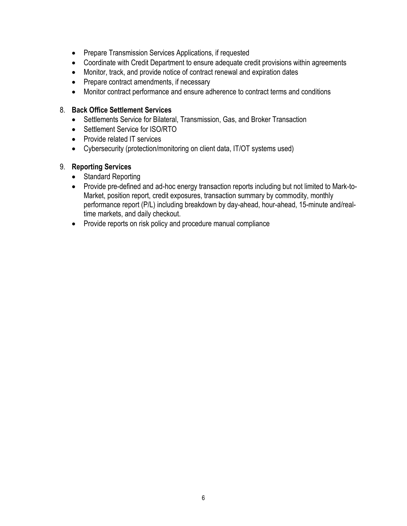- Prepare Transmission Services Applications, if requested
- Coordinate with Credit Department to ensure adequate credit provisions within agreements
- Monitor, track, and provide notice of contract renewal and expiration dates
- Prepare contract amendments, if necessary
- Monitor contract performance and ensure adherence to contract terms and conditions

#### 8. **Back Office Settlement Services**

- Settlements Service for Bilateral, Transmission, Gas, and Broker Transaction
- Settlement Service for ISO/RTO
- Provide related IT services
- Cybersecurity (protection/monitoring on client data, IT/OT systems used)

### 9. **Reporting Services**

- Standard Reporting
- Provide pre-defined and ad-hoc energy transaction reports including but not limited to Mark-to-Market, position report, credit exposures, transaction summary by commodity, monthly performance report (P/L) including breakdown by day-ahead, hour-ahead, 15-minute and/realtime markets, and daily checkout.
- Provide reports on risk policy and procedure manual compliance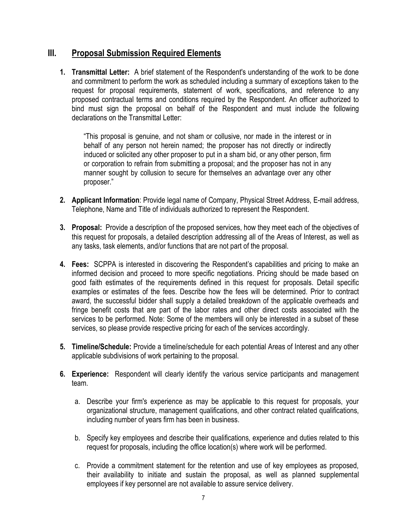## **III. Proposal Submission Required Elements**

**1. Transmittal Letter:** A brief statement of the Respondent's understanding of the work to be done and commitment to perform the work as scheduled including a summary of exceptions taken to the request for proposal requirements, statement of work, specifications, and reference to any proposed contractual terms and conditions required by the Respondent. An officer authorized to bind must sign the proposal on behalf of the Respondent and must include the following declarations on the Transmittal Letter:

"This proposal is genuine, and not sham or collusive, nor made in the interest or in behalf of any person not herein named; the proposer has not directly or indirectly induced or solicited any other proposer to put in a sham bid, or any other person, firm or corporation to refrain from submitting a proposal; and the proposer has not in any manner sought by collusion to secure for themselves an advantage over any other proposer."

- **2. Applicant Information**: Provide legal name of Company, Physical Street Address, E-mail address, Telephone, Name and Title of individuals authorized to represent the Respondent.
- **3. Proposal:** Provide a description of the proposed services, how they meet each of the objectives of this request for proposals, a detailed description addressing all of the Areas of Interest, as well as any tasks, task elements, and/or functions that are not part of the proposal.
- **4. Fees:** SCPPA is interested in discovering the Respondent's capabilities and pricing to make an informed decision and proceed to more specific negotiations. Pricing should be made based on good faith estimates of the requirements defined in this request for proposals. Detail specific examples or estimates of the fees. Describe how the fees will be determined. Prior to contract award, the successful bidder shall supply a detailed breakdown of the applicable overheads and fringe benefit costs that are part of the labor rates and other direct costs associated with the services to be performed. Note: Some of the members will only be interested in a subset of these services, so please provide respective pricing for each of the services accordingly.
- **5. Timeline/Schedule:** Provide a timeline/schedule for each potential Areas of Interest and any other applicable subdivisions of work pertaining to the proposal.
- **6. Experience:** Respondent will clearly identify the various service participants and management team.
	- a. Describe your firm's experience as may be applicable to this request for proposals, your organizational structure, management qualifications, and other contract related qualifications, including number of years firm has been in business.
	- b. Specify key employees and describe their qualifications, experience and duties related to this request for proposals, including the office location(s) where work will be performed.
	- c. Provide a commitment statement for the retention and use of key employees as proposed, their availability to initiate and sustain the proposal, as well as planned supplemental employees if key personnel are not available to assure service delivery.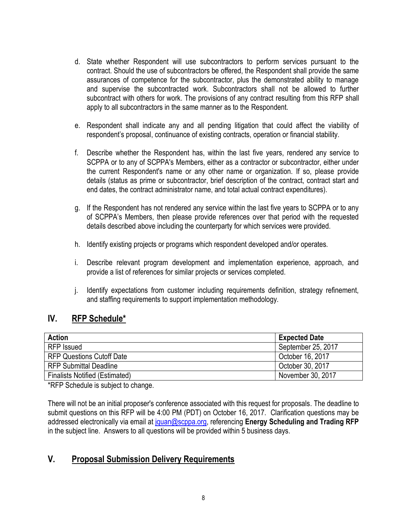- d. State whether Respondent will use subcontractors to perform services pursuant to the contract. Should the use of subcontractors be offered, the Respondent shall provide the same assurances of competence for the subcontractor, plus the demonstrated ability to manage and supervise the subcontracted work. Subcontractors shall not be allowed to further subcontract with others for work. The provisions of any contract resulting from this RFP shall apply to all subcontractors in the same manner as to the Respondent.
- e. Respondent shall indicate any and all pending litigation that could affect the viability of respondent's proposal, continuance of existing contracts, operation or financial stability.
- f. Describe whether the Respondent has, within the last five years, rendered any service to SCPPA or to any of SCPPA's Members, either as a contractor or subcontractor, either under the current Respondent's name or any other name or organization. If so, please provide details (status as prime or subcontractor, brief description of the contract, contract start and end dates, the contract administrator name, and total actual contract expenditures).
- g. If the Respondent has not rendered any service within the last five years to SCPPA or to any of SCPPA's Members, then please provide references over that period with the requested details described above including the counterparty for which services were provided.
- h. Identify existing projects or programs which respondent developed and/or operates.
- i. Describe relevant program development and implementation experience, approach, and provide a list of references for similar projects or services completed.
- j. Identify expectations from customer including requirements definition, strategy refinement, and staffing requirements to support implementation methodology.

# **IV. RFP Schedule\***

| <b>Action</b>                         | <b>Expected Date</b> |
|---------------------------------------|----------------------|
| <b>RFP</b> Issued                     | September 25, 2017   |
| <b>RFP Questions Cutoff Date</b>      | October 16, 2017     |
| <b>RFP Submittal Deadline</b>         | October 30, 2017     |
| <b>Finalists Notified (Estimated)</b> | November 30, 2017    |

\*RFP Schedule is subject to change.

There will not be an initial proposer's conference associated with this request for proposals. The deadline to submit questions on this RFP will be 4:00 PM (PDT) on October 16, 2017. Clarification questions may be addressed electronically via email at [jquan@scppa.org,](mailto:jquan@scppa.org) referencing **Energy Scheduling and Trading RFP** in the subject line. Answers to all questions will be provided within 5 business days.

# **V. Proposal Submission Delivery Requirements**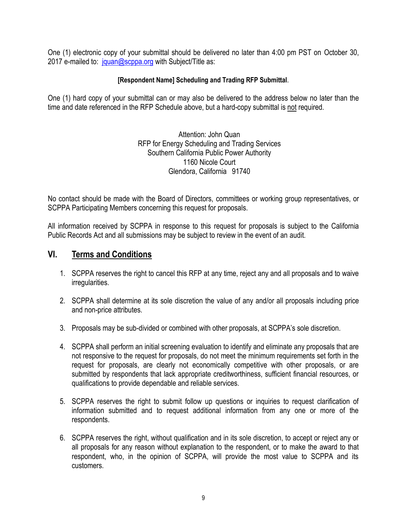One (1) electronic copy of your submittal should be delivered no later than 4:00 pm PST on October 30, 2017 e-mailed to: [jquan@scppa.org](mailto:jquan@scppa.org) with Subject/Title as:

#### **[Respondent Name] Scheduling and Trading RFP Submittal**.

One (1) hard copy of your submittal can or may also be delivered to the address below no later than the time and date referenced in the RFP Schedule above, but a hard-copy submittal is not required.

> Attention: John Quan RFP for Energy Scheduling and Trading Services Southern California Public Power Authority 1160 Nicole Court Glendora, California 91740

No contact should be made with the Board of Directors, committees or working group representatives, or SCPPA Participating Members concerning this request for proposals.

All information received by SCPPA in response to this request for proposals is subject to the California Public Records Act and all submissions may be subject to review in the event of an audit.

## **VI. Terms and Conditions**

- 1. SCPPA reserves the right to cancel this RFP at any time, reject any and all proposals and to waive irregularities.
- 2. SCPPA shall determine at its sole discretion the value of any and/or all proposals including price and non-price attributes.
- 3. Proposals may be sub-divided or combined with other proposals, at SCPPA's sole discretion.
- 4. SCPPA shall perform an initial screening evaluation to identify and eliminate any proposals that are not responsive to the request for proposals, do not meet the minimum requirements set forth in the request for proposals, are clearly not economically competitive with other proposals, or are submitted by respondents that lack appropriate creditworthiness, sufficient financial resources, or qualifications to provide dependable and reliable services.
- 5. SCPPA reserves the right to submit follow up questions or inquiries to request clarification of information submitted and to request additional information from any one or more of the respondents.
- 6. SCPPA reserves the right, without qualification and in its sole discretion, to accept or reject any or all proposals for any reason without explanation to the respondent, or to make the award to that respondent, who, in the opinion of SCPPA, will provide the most value to SCPPA and its customers.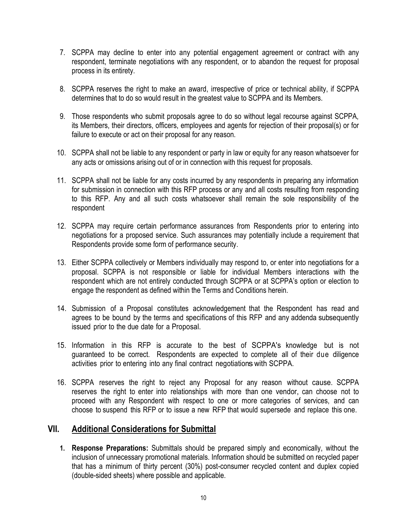- 7. SCPPA may decline to enter into any potential engagement agreement or contract with any respondent, terminate negotiations with any respondent, or to abandon the request for proposal process in its entirety.
- 8. SCPPA reserves the right to make an award, irrespective of price or technical ability, if SCPPA determines that to do so would result in the greatest value to SCPPA and its Members.
- 9. Those respondents who submit proposals agree to do so without legal recourse against SCPPA, its Members, their directors, officers, employees and agents for rejection of their proposal(s) or for failure to execute or act on their proposal for any reason.
- 10. SCPPA shall not be liable to any respondent or party in law or equity for any reason whatsoever for any acts or omissions arising out of or in connection with this request for proposals.
- 11. SCPPA shall not be liable for any costs incurred by any respondents in preparing any information for submission in connection with this RFP process or any and all costs resulting from responding to this RFP. Any and all such costs whatsoever shall remain the sole responsibility of the respondent
- 12. SCPPA may require certain performance assurances from Respondents prior to entering into negotiations for a proposed service. Such assurances may potentially include a requirement that Respondents provide some form of performance security.
- 13. Either SCPPA collectively or Members individually may respond to, or enter into negotiations for a proposal. SCPPA is not responsible or liable for individual Members interactions with the respondent which are not entirely conducted through SCPPA or at SCPPA's option or election to engage the respondent as defined within the Terms and Conditions herein.
- 14. Submission of a Proposal constitutes acknowledgement that the Respondent has read and agrees to be bound by the terms and specifications of this RFP and any addenda subsequently issued prior to the due date for a Proposal.
- 15. Information in this RFP is accurate to the best of SCPPA's knowledge but is not guaranteed to be correct. Respondents are expected to complete all of their due diligence activities prior to entering into any final contract negotiations with SCPPA.
- 16. SCPPA reserves the right to reject any Proposal for any reason without cause. SCPPA reserves the right to enter into relationships with more than one vendor, can choose not to proceed with any Respondent with respect to one or more categories of services, and can choose to suspend this RFP or to issue a new RFP that would supersede and replace this one.

### **VII. Additional Considerations for Submittal**

**1. Response Preparations:** Submittals should be prepared simply and economically, without the inclusion of unnecessary promotional materials. Information should be submitted on recycled paper that has a minimum of thirty percent (30%) post-consumer recycled content and duplex copied (double-sided sheets) where possible and applicable.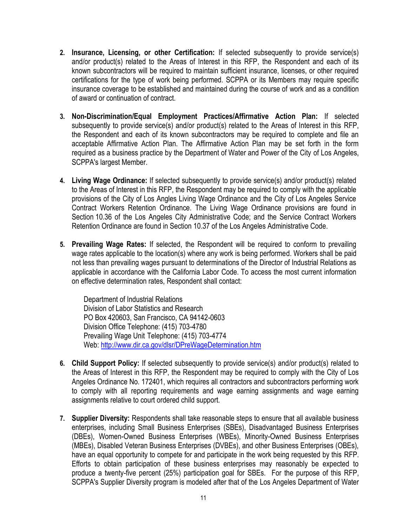- **2. Insurance, Licensing, or other Certification:** If selected subsequently to provide service(s) and/or product(s) related to the Areas of Interest in this RFP, the Respondent and each of its known subcontractors will be required to maintain sufficient insurance, licenses, or other required certifications for the type of work being performed. SCPPA or its Members may require specific insurance coverage to be established and maintained during the course of work and as a condition of award or continuation of contract.
- **3. Non-Discrimination/Equal Employment Practices/Affirmative Action Plan:** If selected subsequently to provide service(s) and/or product(s) related to the Areas of Interest in this RFP, the Respondent and each of its known subcontractors may be required to complete and file an acceptable Affirmative Action Plan. The Affirmative Action Plan may be set forth in the form required as a business practice by the Department of Water and Power of the City of Los Angeles, SCPPA's largest Member.
- **4. Living Wage Ordinance:** If selected subsequently to provide service(s) and/or product(s) related to the Areas of Interest in this RFP, the Respondent may be required to comply with the applicable provisions of the City of Los Angles Living Wage Ordinance and the City of Los Angeles Service Contract Workers Retention Ordinance. The Living Wage Ordinance provisions are found in Section 10.36 of the Los Angeles City Administrative Code; and the Service Contract Workers Retention Ordinance are found in Section 10.37 of the Los Angeles Administrative Code.
- **5. Prevailing Wage Rates:** If selected, the Respondent will be required to conform to prevailing wage rates applicable to the location(s) where any work is being performed. Workers shall be paid not less than prevailing wages pursuant to determinations of the Director of Industrial Relations as applicable in accordance with the California Labor Code. To access the most current information on effective determination rates, Respondent shall contact:

Department of Industrial Relations Division of Labor Statistics and Research PO Box 420603, San Francisco, CA 94142-0603 Division Office Telephone: (415) 703-4780 Prevailing Wage Unit Telephone: (415) 703-4774 Web[: http://www.dir.ca.gov/dlsr/DPreWageDetermination.htm](http://www.dir.ca.gov/dlsr/DPreWageDetermination.htm)

- **6. Child Support Policy:** If selected subsequently to provide service(s) and/or product(s) related to the Areas of Interest in this RFP, the Respondent may be required to comply with the City of Los Angeles Ordinance No. 172401, which requires all contractors and subcontractors performing work to comply with all reporting requirements and wage earning assignments and wage earning assignments relative to court ordered child support.
- **7. Supplier Diversity:** Respondents shall take reasonable steps to ensure that all available business enterprises, including Small Business Enterprises (SBEs), Disadvantaged Business Enterprises (DBEs), Women-Owned Business Enterprises (WBEs), Minority-Owned Business Enterprises (MBEs), Disabled Veteran Business Enterprises (DVBEs), and other Business Enterprises (OBEs), have an equal opportunity to compete for and participate in the work being requested by this RFP. Efforts to obtain participation of these business enterprises may reasonably be expected to produce a twenty-five percent (25%) participation goal for SBEs. For the purpose of this RFP, SCPPA's Supplier Diversity program is modeled after that of the Los Angeles Department of Water